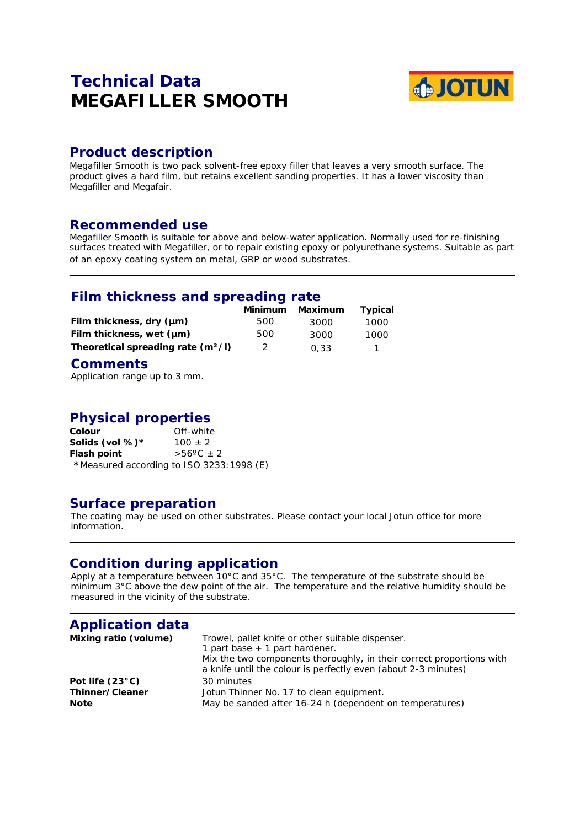## **Technical Data MEGAFILLER SMOOTH**



## **Product description**

Megafiller Smooth is two pack solvent-free epoxy filler that leaves a very smooth surface. The product gives a hard film, but retains excellent sanding properties. It has a lower viscosity than Megafiller and Megafair.

#### **Recommended use**

Megafiller Smooth is suitable for above and below-water application. Normally used for re-finishing surfaces treated with Megafiller, or to repair existing epoxy or polyurethane systems. Suitable as part of an epoxy coating system on metal, GRP or wood substrates.

## **Film thickness and spreading rate**

|                                      | Minimum | Maximum | <b>Typical</b> |
|--------------------------------------|---------|---------|----------------|
| Film thickness, dry (µm)             | 500     | 3000    | 1000           |
| Film thickness, wet (µm)             | 500     | 3000    | 1000           |
| Theoretical spreading rate $(m^2/l)$ | 2       | 0.33    |                |

### **Comments**

Application range up to 3 mm.

# **Physical properties**

Off-white<br> $100 \pm 2$ **Solids (vol %)\* Flash point**  $>56^{\circ}C \pm 2$ **\***Measured according to ISO 3233:1998 (E)

## **Surface preparation**

The coating may be used on other substrates. Please contact your local Jotun office for more information.

## **Condition during application**

Apply at a temperature between 10°C and 35°C. The temperature of the substrate should be minimum 3°C above the dew point of the air. The temperature and the relative humidity should be measured in the vicinity of the substrate.

| <b>Application data</b>  |                                                                                                                                                                                                                                 |
|--------------------------|---------------------------------------------------------------------------------------------------------------------------------------------------------------------------------------------------------------------------------|
| Mixing ratio (volume)    | Trowel, pallet knife or other suitable dispenser.<br>1 part base $+$ 1 part hardener.<br>Mix the two components thoroughly, in their correct proportions with<br>a knife until the colour is perfectly even (about 2-3 minutes) |
| Pot life $(23^{\circ}C)$ | 30 minutes                                                                                                                                                                                                                      |
| Thinner/Cleaner          | Jotun Thinner No. 17 to clean equipment.                                                                                                                                                                                        |
| <b>Note</b>              | May be sanded after 16-24 h (dependent on temperatures)                                                                                                                                                                         |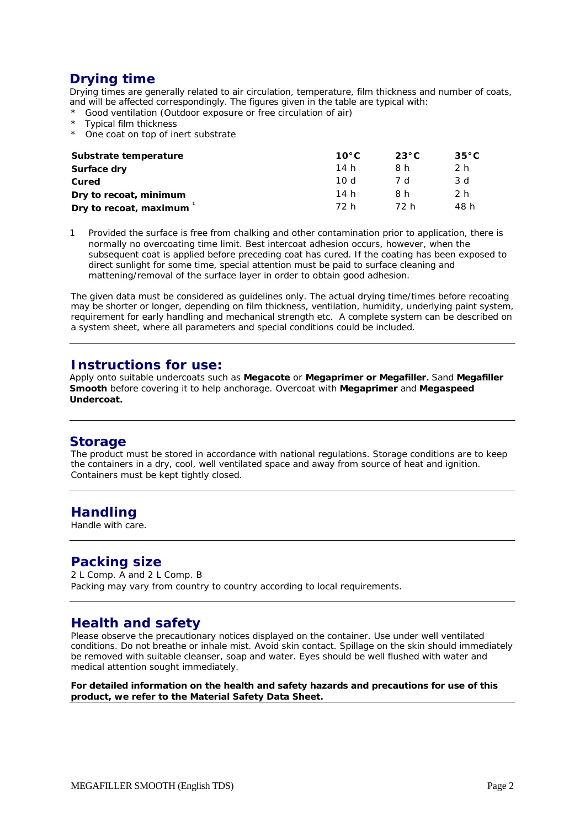## **Drying time**

Drying times are generally related to air circulation, temperature, film thickness and number of coats, and will be affected correspondingly. The figures given in the table are typical with:

- \* Good ventilation (Outdoor exposure or free circulation of air)
- \* Typical film thickness
- \* One coat on top of inert substrate

| Substrate temperature  | $10^{\circ}$ C | $23^{\circ}$ C | $35^{\circ}$ C |
|------------------------|----------------|----------------|----------------|
| Surface dry            | 14 h           | 8 h            | 2 h            |
| Cured                  | 10 d           | 7 d            | 3 d            |
| Dry to recoat, minimum | 14 h           | 8h             | 2 h            |
| Dry to recoat, maximum | 72 h           | 72 h           | 48 h           |

1 Provided the surface is free from chalking and other contamination prior to application, there is normally no overcoating time limit. Best intercoat adhesion occurs, however, when the subsequent coat is applied before preceding coat has cured. If the coating has been exposed to direct sunlight for some time, special attention must be paid to surface cleaning and mattening/removal of the surface layer in order to obtain good adhesion.

The given data must be considered as guidelines only. The actual drying time/times before recoating may be shorter or longer, depending on film thickness, ventilation, humidity, underlying paint system, requirement for early handling and mechanical strength etc. A complete system can be described on a system sheet, where all parameters and special conditions could be included.

#### **Instructions for use:**

Apply onto suitable undercoats such as **Megacote** or **Megaprimer or Megafiller.** Sand **Megafiller Smooth** before covering it to help anchorage. Overcoat with **Megaprimer** and **Megaspeed Undercoat.**

#### **Storage**

The product must be stored in accordance with national regulations. Storage conditions are to keep the containers in a dry, cool, well ventilated space and away from source of heat and ignition. Containers must be kept tightly closed.

## **Handling**

Handle with care.

## **Packing size**

2 L Comp. A and 2 L Comp. B Packing may vary from country to country according to local requirements.

## **Health and safety**

Please observe the precautionary notices displayed on the container. Use under well ventilated conditions. Do not breathe or inhale mist. Avoid skin contact. Spillage on the skin should immediately be removed with suitable cleanser, soap and water. Eyes should be well flushed with water and medical attention sought immediately.

**For detailed information on the health and safety hazards and precautions for use of this product, we refer to the Material Safety Data Sheet.**